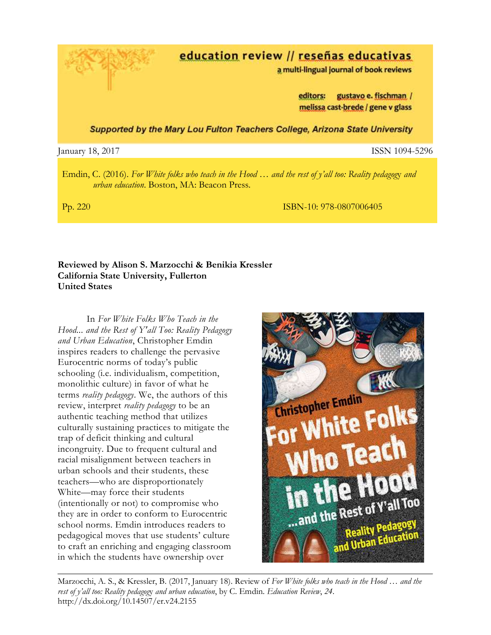education review // reseñas educativas

a multi-lingual journal of book reviews

editors: gustavo e. fischman / melissa cast-brede / gene v glass

Supported by the Mary Lou Fulton Teachers College, Arizona State University

## January 18, 2017 ISSN 1094-5296

Emdin, C. (2016). *For White folks who teach in the Hood … and the rest of y'all too: Reality pedagog*y *and urban education*. Boston, MA: Beacon Press.

Pp. 220 ISBN-10: 978-0807006405

# **Reviewed by Alison S. Marzocchi & Benikia Kressler California State University, Fullerton United States**

In *For White Folks Who Teach in the Hood... and the Rest of Y'all Too: Reality Pedagogy and Urban Education*, Christopher Emdin inspires readers to challenge the pervasive Eurocentric norms of today's public schooling (i.e. individualism, competition, monolithic culture) in favor of what he terms *reality pedagogy*. We, the authors of this review, interpret *reality pedagogy* to be an authentic teaching method that utilizes culturally sustaining practices to mitigate the trap of deficit thinking and cultural incongruity. Due to frequent cultural and racial misalignment between teachers in urban schools and their students, these teachers—who are disproportionately White—may force their students (intentionally or not) to compromise who they are in order to conform to Eurocentric school norms. Emdin introduces readers to pedagogical moves that use students' culture to craft an enriching and engaging classroom in which the students have ownership over



Marzocchi, A. S., & Kressler, B. (2017, January 18). Review of *For White folks who teach in the Hood … and the rest of y'all too: Reality pedagog*y *and urban education*, by C. Emdin. *Education Review*, *24*. <http://dx.doi.org/10.14507/er.v24.2155>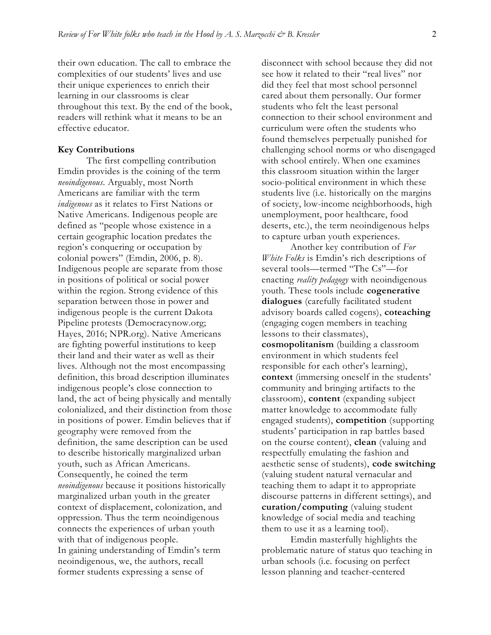their own education. The call to embrace the complexities of our students' lives and use their unique experiences to enrich their learning in our classrooms is clear throughout this text. By the end of the book, readers will rethink what it means to be an effective educator.

#### **Key Contributions**

The first compelling contribution Emdin provides is the coining of the term *neoindigenous*. Arguably, most North Americans are familiar with the term *indigenous* as it relates to First Nations or Native Americans. Indigenous people are defined as "people whose existence in a certain geographic location predates the region's conquering or occupation by colonial powers" (Emdin, 2006, p. 8). Indigenous people are separate from those in positions of political or social power within the region. Strong evidence of this separation between those in power and indigenous people is the current Dakota Pipeline protests (Democracynow.org; Hayes, 2016; NPR.org). Native Americans are fighting powerful institutions to keep their land and their water as well as their lives. Although not the most encompassing definition, this broad description illuminates indigenous people's close connection to land, the act of being physically and mentally colonialized, and their distinction from those in positions of power. Emdin believes that if geography were removed from the definition, the same description can be used to describe historically marginalized urban youth, such as African Americans. Consequently, he coined the term *neoindigenous* because it positions historically marginalized urban youth in the greater context of displacement, colonization, and oppression. Thus the term neoindigenous connects the experiences of urban youth with that of indigenous people. In gaining understanding of Emdin's term neoindigenous, we, the authors, recall former students expressing a sense of

disconnect with school because they did not see how it related to their "real lives" nor did they feel that most school personnel cared about them personally. Our former students who felt the least personal connection to their school environment and curriculum were often the students who found themselves perpetually punished for challenging school norms or who disengaged with school entirely. When one examines this classroom situation within the larger socio-political environment in which these students live (i.e. historically on the margins of society, low-income neighborhoods, high unemployment, poor healthcare, food deserts, etc.), the term neoindigenous helps to capture urban youth experiences.

Another key contribution of *For White Folks* is Emdin's rich descriptions of several tools—termed "The Cs"—for enacting *reality pedagogy* with neoindigenous youth*.* These tools include **cogenerative dialogues** (carefully facilitated student advisory boards called cogens), **coteaching** (engaging cogen members in teaching lessons to their classmates), **cosmopolitanism** (building a classroom environment in which students feel responsible for each other's learning), **context** (immersing oneself in the students' community and bringing artifacts to the classroom), **content** (expanding subject matter knowledge to accommodate fully engaged students), **competition** (supporting students' participation in rap battles based on the course content), **clean** (valuing and respectfully emulating the fashion and aesthetic sense of students), **code switching** (valuing student natural vernacular and teaching them to adapt it to appropriate discourse patterns in different settings), and **curation/computing** (valuing student knowledge of social media and teaching them to use it as a learning tool).

Emdin masterfully highlights the problematic nature of status quo teaching in urban schools (i.e. focusing on perfect lesson planning and teacher-centered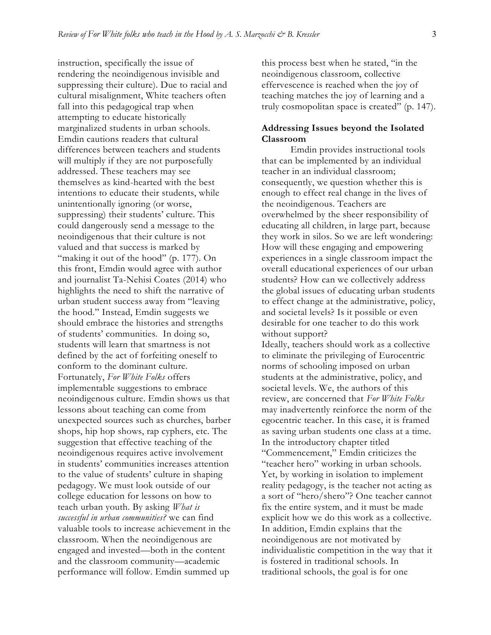instruction, specifically the issue of rendering the neoindigenous invisible and suppressing their culture). Due to racial and cultural misalignment, White teachers often fall into this pedagogical trap when attempting to educate historically marginalized students in urban schools. Emdin cautions readers that cultural differences between teachers and students will multiply if they are not purposefully addressed. These teachers may see themselves as kind-hearted with the best intentions to educate their students, while unintentionally ignoring (or worse, suppressing) their students' culture. This could dangerously send a message to the neoindigenous that their culture is not valued and that success is marked by "making it out of the hood" (p. 177). On this front, Emdin would agree with author and journalist Ta-Nehisi Coates (2014) who highlights the need to shift the narrative of urban student success away from "leaving the hood." Instead, Emdin suggests we should embrace the histories and strengths of students' communities. In doing so, students will learn that smartness is not defined by the act of forfeiting oneself to conform to the dominant culture. Fortunately, *For White Folks* offers implementable suggestions to embrace neoindigenous culture. Emdin shows us that lessons about teaching can come from unexpected sources such as churches, barber shops, hip hop shows, rap cyphers, etc. The suggestion that effective teaching of the neoindigenous requires active involvement in students' communities increases attention to the value of students' culture in shaping pedagogy. We must look outside of our college education for lessons on how to teach urban youth. By asking *What is successful in urban communities?* we can find valuable tools to increase achievement in the classroom. When the neoindigenous are engaged and invested—both in the content and the classroom community—academic performance will follow. Emdin summed up

this process best when he stated, "in the neoindigenous classroom, collective effervescence is reached when the joy of teaching matches the joy of learning and a truly cosmopolitan space is created" (p. 147).

### **Addressing Issues beyond the Isolated Classroom**

Emdin provides instructional tools that can be implemented by an individual teacher in an individual classroom; consequently, we question whether this is enough to effect real change in the lives of the neoindigenous. Teachers are overwhelmed by the sheer responsibility of educating all children, in large part, because they work in silos. So we are left wondering: How will these engaging and empowering experiences in a single classroom impact the overall educational experiences of our urban students? How can we collectively address the global issues of educating urban students to effect change at the administrative, policy, and societal levels? Is it possible or even desirable for one teacher to do this work without support?

Ideally, teachers should work as a collective to eliminate the privileging of Eurocentric norms of schooling imposed on urban students at the administrative, policy, and societal levels. We, the authors of this review, are concerned that *For White Folks* may inadvertently reinforce the norm of the egocentric teacher. In this case, it is framed as saving urban students one class at a time. In the introductory chapter titled "Commencement," Emdin criticizes the "teacher hero" working in urban schools. Yet, by working in isolation to implement reality pedagogy, is the teacher not acting as a sort of "hero/shero"? One teacher cannot fix the entire system, and it must be made explicit how we do this work as a collective. In addition, Emdin explains that the neoindigenous are not motivated by individualistic competition in the way that it is fostered in traditional schools. In traditional schools, the goal is for one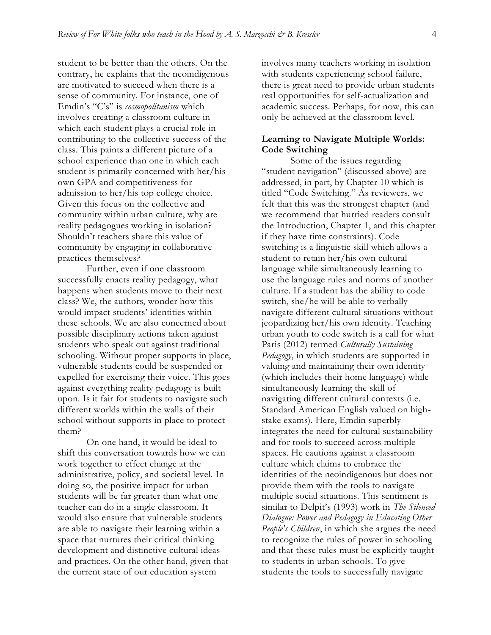student to be better than the others. On the contrary, he explains that the neoindigenous are motivated to succeed when there is a sense of community. For instance, one of Emdin's "C's" is *cosmopolitanism* which involves creating a classroom culture in which each student plays a crucial role in contributing to the collective success of the class. This paints a different picture of a school experience than one in which each student is primarily concerned with her/his own GPA and competitiveness for admission to her/his top college choice. Given this focus on the collective and community within urban culture, why are reality pedagogues working in isolation? Shouldn't teachers share this value of community by engaging in collaborative practices themselves?

Further, even if one classroom successfully enacts reality pedagogy, what happens when students move to their next class? We, the authors, wonder how this would impact students' identities within these schools. We are also concerned about possible disciplinary actions taken against students who speak out against traditional schooling. Without proper supports in place, vulnerable students could be suspended or expelled for exercising their voice. This goes against everything reality pedagogy is built upon. Is it fair for students to navigate such different worlds within the walls of their school without supports in place to protect them?

On one hand, it would be ideal to shift this conversation towards how we can work together to effect change at the administrative, policy, and societal level. In doing so, the positive impact for urban students will be far greater than what one teacher can do in a single classroom. It would also ensure that vulnerable students are able to navigate their learning within a space that nurtures their critical thinking development and distinctive cultural ideas and practices. On the other hand, given that the current state of our education system

involves many teachers working in isolation with students experiencing school failure, there is great need to provide urban students real opportunities for self-actualization and academic success. Perhaps, for now, this can only be achieved at the classroom level.

## **Learning to Navigate Multiple Worlds: Code Switching**

Some of the issues regarding "student navigation" (discussed above) are addressed, in part, by Chapter 10 which is titled "Code Switching." As reviewers, we felt that this was the strongest chapter (and we recommend that hurried readers consult the Introduction, Chapter 1, and this chapter if they have time constraints). Code switching is a linguistic skill which allows a student to retain her/his own cultural language while simultaneously learning to use the language rules and norms of another culture. If a student has the ability to code switch, she/he will be able to verbally navigate different cultural situations without jeopardizing her/his own identity. Teaching urban youth to code switch is a call for what Paris (2012) termed *Culturally Sustaining Pedagogy*, in which students are supported in valuing and maintaining their own identity (which includes their home language) while simultaneously learning the skill of navigating different cultural contexts (i.e. Standard American English valued on highstake exams). Here, Emdin superbly integrates the need for cultural sustainability and for tools to succeed across multiple spaces. He cautions against a classroom culture which claims to embrace the identities of the neoindigenous but does not provide them with the tools to navigate multiple social situations. This sentiment is similar to Delpit's (1993) work in *The Silenced Dialogue: Power and Pedagogy in Educating Other People's Children*, in which she argues the need to recognize the rules of power in schooling and that these rules must be explicitly taught to students in urban schools. To give students the tools to successfully navigate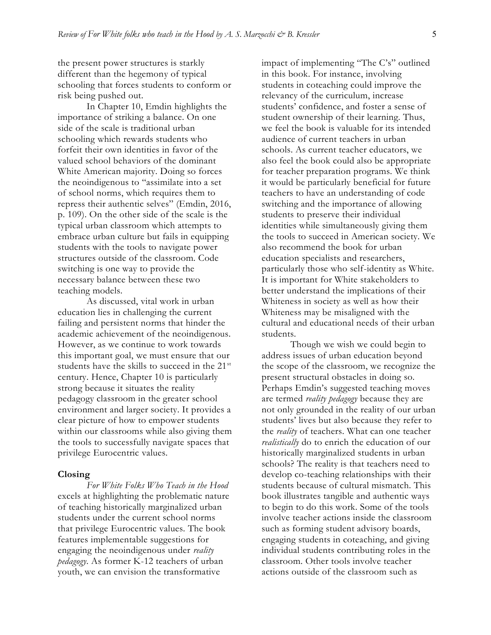the present power structures is starkly different than the hegemony of typical schooling that forces students to conform or risk being pushed out.

In Chapter 10, Emdin highlights the importance of striking a balance. On one side of the scale is traditional urban schooling which rewards students who forfeit their own identities in favor of the valued school behaviors of the dominant White American majority. Doing so forces the neoindigenous to "assimilate into a set of school norms, which requires them to repress their authentic selves" (Emdin, 2016, p. 109). On the other side of the scale is the typical urban classroom which attempts to embrace urban culture but fails in equipping students with the tools to navigate power structures outside of the classroom. Code switching is one way to provide the necessary balance between these two teaching models.

As discussed, vital work in urban education lies in challenging the current failing and persistent norms that hinder the academic achievement of the neoindigenous. However, as we continue to work towards this important goal, we must ensure that our students have the skills to succeed in the 21<sup>st</sup> century. Hence, Chapter 10 is particularly strong because it situates the reality pedagogy classroom in the greater school environment and larger society. It provides a clear picture of how to empower students within our classrooms while also giving them the tools to successfully navigate spaces that privilege Eurocentric values.

#### **Closing**

*For White Folks Who Teach in the Hood*  excels at highlighting the problematic nature of teaching historically marginalized urban students under the current school norms that privilege Eurocentric values. The book features implementable suggestions for engaging the neoindigenous under *reality pedagogy*. As former K-12 teachers of urban youth, we can envision the transformative

impact of implementing "The C's" outlined in this book. For instance, involving students in coteaching could improve the relevancy of the curriculum, increase students' confidence, and foster a sense of student ownership of their learning. Thus, we feel the book is valuable for its intended audience of current teachers in urban schools. As current teacher educators, we also feel the book could also be appropriate for teacher preparation programs. We think it would be particularly beneficial for future teachers to have an understanding of code switching and the importance of allowing students to preserve their individual identities while simultaneously giving them the tools to succeed in American society. We also recommend the book for urban education specialists and researchers, particularly those who self-identity as White. It is important for White stakeholders to better understand the implications of their Whiteness in society as well as how their Whiteness may be misaligned with the cultural and educational needs of their urban students.

Though we wish we could begin to address issues of urban education beyond the scope of the classroom, we recognize the present structural obstacles in doing so. Perhaps Emdin's suggested teaching moves are termed *reality pedagogy* because they are not only grounded in the reality of our urban students' lives but also because they refer to the *reality* of teachers. What can one teacher *realistically* do to enrich the education of our historically marginalized students in urban schools? The reality is that teachers need to develop co-teaching relationships with their students because of cultural mismatch. This book illustrates tangible and authentic ways to begin to do this work. Some of the tools involve teacher actions inside the classroom such as forming student advisory boards, engaging students in coteaching, and giving individual students contributing roles in the classroom. Other tools involve teacher actions outside of the classroom such as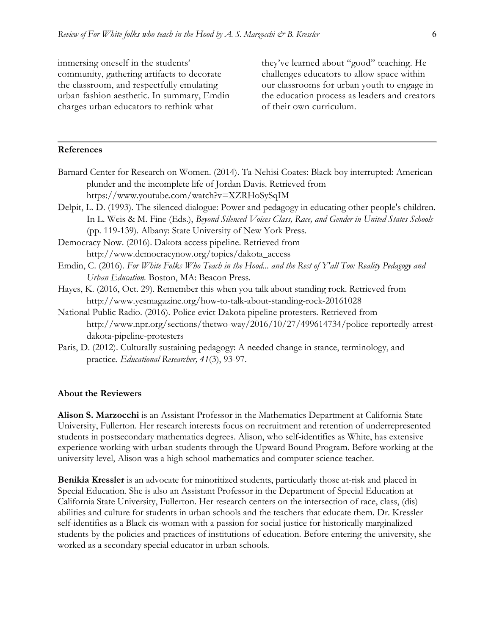immersing oneself in the students' community, gathering artifacts to decorate the classroom, and respectfully emulating urban fashion aesthetic. In summary, Emdin charges urban educators to rethink what

they've learned about "good" teaching. He challenges educators to allow space within our classrooms for urban youth to engage in the education process as leaders and creators of their own curriculum.

# **References**

- Barnard Center for Research on Women. (2014). Ta-Nehisi Coates: Black boy interrupted: American plunder and the incomplete life of Jordan Davis. Retrieved fro[m](https://www.youtube.com/watch?v=XZRHoSySqIM) <https://www.youtube.com/watch?v=XZRHoSySqIM>
- Delpit, L. D. (1993). The silenced dialogue: Power and pedagogy in educating other people's children. In L. Weis & M. Fine (Eds.), *Beyond Silenced Voices Class, Race, and Gender in United States Schools* (pp. 119-139). Albany: State University of New York Press.
- Democracy Now. (2016). Dakota access pipeline. Retrieved from [http://www.democracynow.org/topics/dakota\\_access](http://www.democracynow.org/topics/dakota_access)
- Emdin, C. (2016). *For White Folks Who Teach in the Hood... and the Rest of Y'all Too: Reality Pedagogy and Urban Education.* Boston, MA: Beacon Press.
- Hayes, K. (2016, Oct. 29). Remember this when you talk about standing rock. Retrieved from <http://www.yesmagazine.org/how-to-talk-about-standing-rock-20161028>
- National Public Radio. (2016). Police evict Dakota pipeline protesters. Retrieved from [http://www.npr.org/sections/thetwo-way/2016/10/27/499614734/police-reportedly-arrest](http://www.npr.org/sections/thetwo-way/2016/10/27/499614734/police-reportedly-arrest-dakota-pipeline-protesters)[dakota-pipeline-protesters](http://www.npr.org/sections/thetwo-way/2016/10/27/499614734/police-reportedly-arrest-dakota-pipeline-protesters)
- Paris, D. (2012). Culturally sustaining pedagogy: A needed change in stance, terminology, and practice. *Educational Researcher, 41*(3), 93-97.

#### **About the Reviewers**

**Alison S. Marzocchi** is an Assistant Professor in the Mathematics Department at California State University, Fullerton. Her research interests focus on recruitment and retention of underrepresented students in postsecondary mathematics degrees. Alison, who self-identifies as White, has extensive experience working with urban students through the Upward Bound Program. Before working at the university level, Alison was a high school mathematics and computer science teacher.

**Benikia Kressler** is an advocate for minoritized students, particularly those at-risk and placed in Special Education. She is also an Assistant Professor in the Department of Special Education at California State University, Fullerton. Her research centers on the intersection of race, class, (dis) abilities and culture for students in urban schools and the teachers that educate them. Dr. Kressler self-identifies as a Black cis-woman with a passion for social justice for historically marginalized students by the policies and practices of institutions of education. Before entering the university, she worked as a secondary special educator in urban schools.